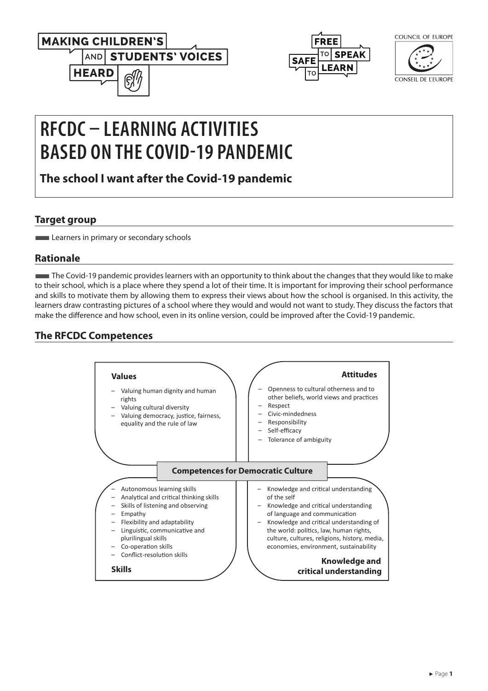



| COUNCIL OF EUROPE |  |
|-------------------|--|
|                   |  |
|                   |  |

 $\sim$ UNIOU OF FURON

**CONSEIL DE L'EUROPE** 

# **RFCDC – LEARNING ACTIVITIES BASED ON THE COVID-19 PANDEMIC**

**The school I want after the Covid-19 pandemic**

## **Target group**

**Learners in primary or secondary schools** 

## **Rationale**

■The Covid-19 pandemic provides learners with an opportunity to think about the changes that they would like to make to their school, which is a place where they spend a lot of their time. It is important for improving their school performance and skills to motivate them by allowing them to express their views about how the school is organised. In this activity, the learners draw contrasting pictures of a school where they would and would not want to study. They discuss the factors that make the difference and how school, even in its online version, could be improved after the Covid-19 pandemic.

# **The RFCDC Competences**

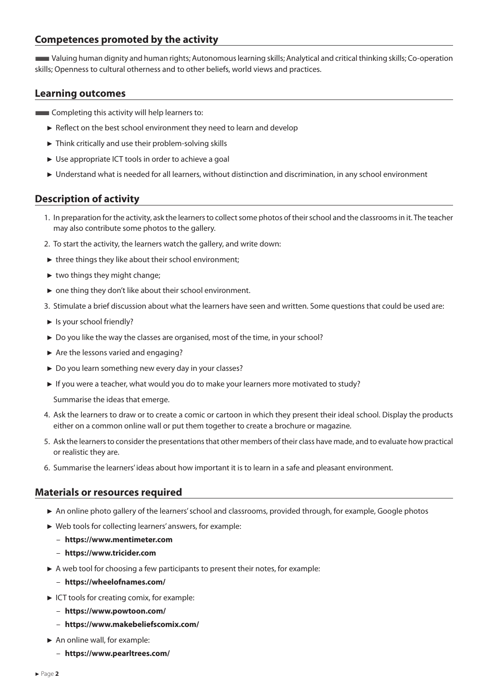#### **Competences promoted by the activity**

■Valuing human dignity and human rights; Autonomous learning skills; Analytical and critical thinking skills; Co-operation skills; Openness to cultural otherness and to other beliefs, world views and practices.

#### **Learning outcomes**

- **EXCOMPLE COMPLETE INCOCO EXCOMPLEM** COMPLETED COMPLETED COMPLETED **CONTE** 
	- ► Reflect on the best school environment they need to learn and develop
	- ► Think critically and use their problem-solving skills
	- ► Use appropriate ICT tools in order to achieve a goal
	- ► Understand what is needed for all learners, without distinction and discrimination, in any school environment

## **Description of activity**

- 1. In preparation for the activity, ask the learners to collect some photos of their school and the classrooms in it. The teacher may also contribute some photos to the gallery.
- 2. To start the activity, the learners watch the gallery, and write down:
- $\triangleright$  three things they like about their school environment;
- ► two things they might change;
- ► one thing they don't like about their school environment.
- 3. Stimulate a brief discussion about what the learners have seen and written. Some questions that could be used are:
- ► Is your school friendly?
- ► Do you like the way the classes are organised, most of the time, in your school?
- ► Are the lessons varied and engaging?
- ► Do you learn something new every day in your classes?
- ► If you were a teacher, what would you do to make your learners more motivated to study?

Summarise the ideas that emerge.

- 4. Ask the learners to draw or to create a comic or cartoon in which they present their ideal school. Display the products either on a common online wall or put them together to create a brochure or magazine.
- 5. Ask the learners to consider the presentations that other members of their class have made, and to evaluate how practical or realistic they are.
- 6. Summarise the learners' ideas about how important it is to learn in a safe and pleasant environment.

#### **Materials or resources required**

- ► An online photo gallery of the learners' school and classrooms, provided through, for example, Google photos
- ► Web tools for collecting learners' answers, for example:
	- **<https://www.mentimeter.com>**
	- **<https://www.tricider.com>**
- ► A web tool for choosing a few participants to present their notes, for example:
	- **<https://wheelofnames.com/>**
- ► ICT tools for creating comix, for example:
	- **<https://www.powtoon.com/>**
	- **<https://www.makebeliefscomix.com/>**
- ► An online wall, for example:
	- **[https://www.pearltrees.com/](https://www.pearltrees.com/ )**